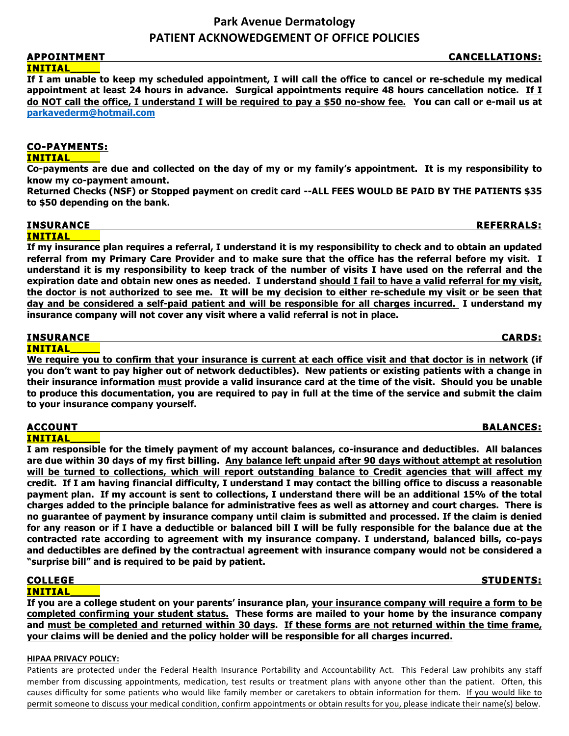## **APPOINTMENT CANCELLATIONS: INITIAL\_\_\_\_\_**

**If I am unable to keep my scheduled appointment, I will call the office to cancel or re-schedule my medical appointment at least 24 hours in advance. Surgical appointments require 48 hours cancellation notice. If I do NOT call the office, I understand I will be required to pay a \$50 no-show fee. You can call or e-mail us at parkavederm@hotmail.com** 

# **CO-PAYMENTS:**

# **INITIAL\_\_\_\_\_**

**Co-payments are due and collected on the day of my or my family's appointment. It is my responsibility to know my co-payment amount.** 

**Returned Checks (NSF) or Stopped payment on credit card --ALL FEES WOULD BE PAID BY THE PATIENTS \$35 to \$50 depending on the bank.**

## **INSURANCE REFERRALS:**

**INITIAL\_\_\_\_\_** 

**If my insurance plan requires a referral, I understand it is my responsibility to check and to obtain an updated referral from my Primary Care Provider and to make sure that the office has the referral before my visit. I understand it is my responsibility to keep track of the number of visits I have used on the referral and the expiration date and obtain new ones as needed. I understand should I fail to have a valid referral for my visit, the doctor is not authorized to see me. It will be my decision to either re-schedule my visit or be seen that day and be considered a self-paid patient and will be responsible for all charges incurred. I understand my insurance company will not cover any visit where a valid referral is not in place.** 

### **INSURANCE CARDS: INITIAL\_\_\_\_\_**

**We require you to confirm that your insurance is current at each office visit and that doctor is in network (if you don't want to pay higher out of network deductibles). New patients or existing patients with a change in their insurance information must provide a valid insurance card at the time of the visit. Should you be unable to produce this documentation, you are required to pay in full at the time of the service and submit the claim to your insurance company yourself.** 

## **ACCOUNT BALANCES: INITIAL\_\_\_\_\_**

**I am responsible for the timely payment of my account balances, co-insurance and deductibles. All balances are due within 30 days of my first billing. Any balance left unpaid after 90 days without attempt at resolution will be turned to collections, which will report outstanding balance to Credit agencies that will affect my credit. If I am having financial difficulty, I understand I may contact the billing office to discuss a reasonable payment plan. If my account is sent to collections, I understand there will be an additional 15% of the total charges added to the principle balance for administrative fees as well as attorney and court charges. There is no guarantee of payment by insurance company until claim is submitted and processed. If the claim is denied for any reason or if I have a deductible or balanced bill I will be fully responsible for the balance due at the contracted rate according to agreement with my insurance company. I understand, balanced bills, co-pays and deductibles are defined by the contractual agreement with insurance company would not be considered a "surprise bill" and is required to be paid by patient.** 

# **INITIAL\_\_\_\_\_**

**If you are a college student on your parents' insurance plan, your insurance company will require a form to be completed confirming your student status. These forms are mailed to your home by the insurance company and must be completed and returned within 30 days. If these forms are not returned within the time frame, your claims will be denied and the policy holder will be responsible for all charges incurred.** 

## **HIPAA PRIVACY POLICY:**

Patients are protected under the Federal Health Insurance Portability and Accountability Act. This Federal Law prohibits any staff member from discussing appointments, medication, test results or treatment plans with anyone other than the patient. Often, this causes difficulty for some patients who would like family member or caretakers to obtain information for them. If you would like to permit someone to discuss your medical condition, confirm appointments or obtain results for you, please indicate their name(s) below.

# **COLLEGE STUDENTS:**  $\qquad \qquad$  STUDENTS: